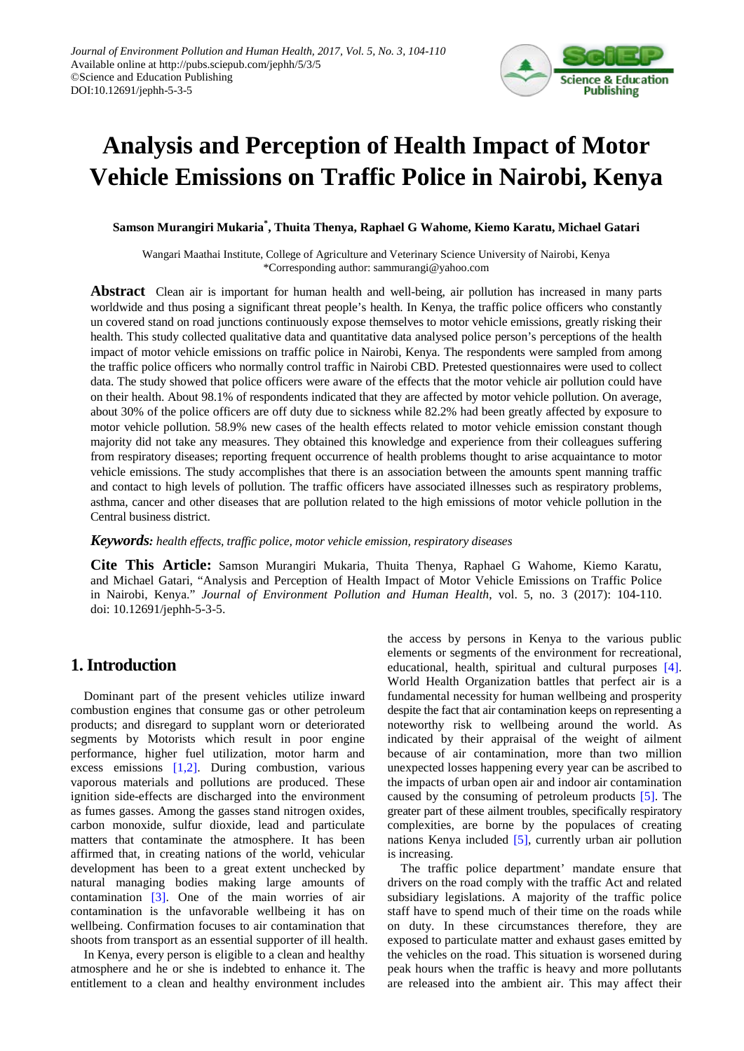

# **Analysis and Perception of Health Impact of Motor Vehicle Emissions on Traffic Police in Nairobi, Kenya**

**Samson Murangiri Mukaria\* , Thuita Thenya, Raphael G Wahome, Kiemo Karatu, Michael Gatari**

Wangari Maathai Institute, College of Agriculture and Veterinary Science University of Nairobi, Kenya \*Corresponding author: sammurangi@yahoo.com

**Abstract** Clean air is important for human health and well-being, air pollution has increased in many parts worldwide and thus posing a significant threat people's health. In Kenya, the traffic police officers who constantly un covered stand on road junctions continuously expose themselves to motor vehicle emissions, greatly risking their health. This study collected qualitative data and quantitative data analysed police person's perceptions of the health impact of motor vehicle emissions on traffic police in Nairobi, Kenya. The respondents were sampled from among the traffic police officers who normally control traffic in Nairobi CBD. Pretested questionnaires were used to collect data. The study showed that police officers were aware of the effects that the motor vehicle air pollution could have on their health. About 98.1% of respondents indicated that they are affected by motor vehicle pollution. On average, about 30% of the police officers are off duty due to sickness while 82.2% had been greatly affected by exposure to motor vehicle pollution. 58.9% new cases of the health effects related to motor vehicle emission constant though majority did not take any measures. They obtained this knowledge and experience from their colleagues suffering from respiratory diseases; reporting frequent occurrence of health problems thought to arise acquaintance to motor vehicle emissions. The study accomplishes that there is an association between the amounts spent manning traffic and contact to high levels of pollution. The traffic officers have associated illnesses such as respiratory problems, asthma, cancer and other diseases that are pollution related to the high emissions of motor vehicle pollution in the Central business district.

*Keywords: health effects, traffic police, motor vehicle emission, respiratory diseases*

**Cite This Article:** Samson Murangiri Mukaria, Thuita Thenya, Raphael G Wahome, Kiemo Karatu, and Michael Gatari, "Analysis and Perception of Health Impact of Motor Vehicle Emissions on Traffic Police in Nairobi, Kenya." *Journal of Environment Pollution and Human Health*, vol. 5, no. 3 (2017): 104-110. doi: 10.12691/jephh-5-3-5.

# **1. Introduction**

Dominant part of the present vehicles utilize inward combustion engines that consume gas or other petroleum products; and disregard to supplant worn or deteriorated segments by Motorists which result in poor engine performance, higher fuel utilization, motor harm and excess emissions [\[1,2\].](#page-5-0) During combustion, various vaporous materials and pollutions are produced. These ignition side-effects are discharged into the environment as fumes gasses. Among the gasses stand nitrogen oxides, carbon monoxide, sulfur dioxide, lead and particulate matters that contaminate the atmosphere. It has been affirmed that, in creating nations of the world, vehicular development has been to a great extent unchecked by natural managing bodies making large amounts of contamination [\[3\].](#page-5-1) One of the main worries of air contamination is the unfavorable wellbeing it has on wellbeing. Confirmation focuses to air contamination that shoots from transport as an essential supporter of ill health.

In Kenya, every person is eligible to a clean and healthy atmosphere and he or she is indebted to enhance it. The entitlement to a clean and healthy environment includes the access by persons in Kenya to the various public elements or segments of the environment for recreational, educational, health, spiritual and cultural purposes [\[4\].](#page-5-2) World Health Organization battles that perfect air is a fundamental necessity for human wellbeing and prosperity despite the fact that air contamination keeps on representing a noteworthy risk to wellbeing around the world. As indicated by their appraisal of the weight of ailment because of air contamination, more than two million unexpected losses happening every year can be ascribed to the impacts of urban open air and indoor air contamination caused by the consuming of petroleum products [\[5\].](#page-6-0) The greater part of these ailment troubles, specifically respiratory complexities, are borne by the populaces of creating nations Kenya included [\[5\],](#page-6-0) currently urban air pollution is increasing.

The traffic police department' mandate ensure that drivers on the road comply with the traffic Act and related subsidiary legislations. A majority of the traffic police staff have to spend much of their time on the roads while on duty. In these circumstances therefore, they are exposed to particulate matter and exhaust gases emitted by the vehicles on the road. This situation is worsened during peak hours when the traffic is heavy and more pollutants are released into the ambient air. This may affect their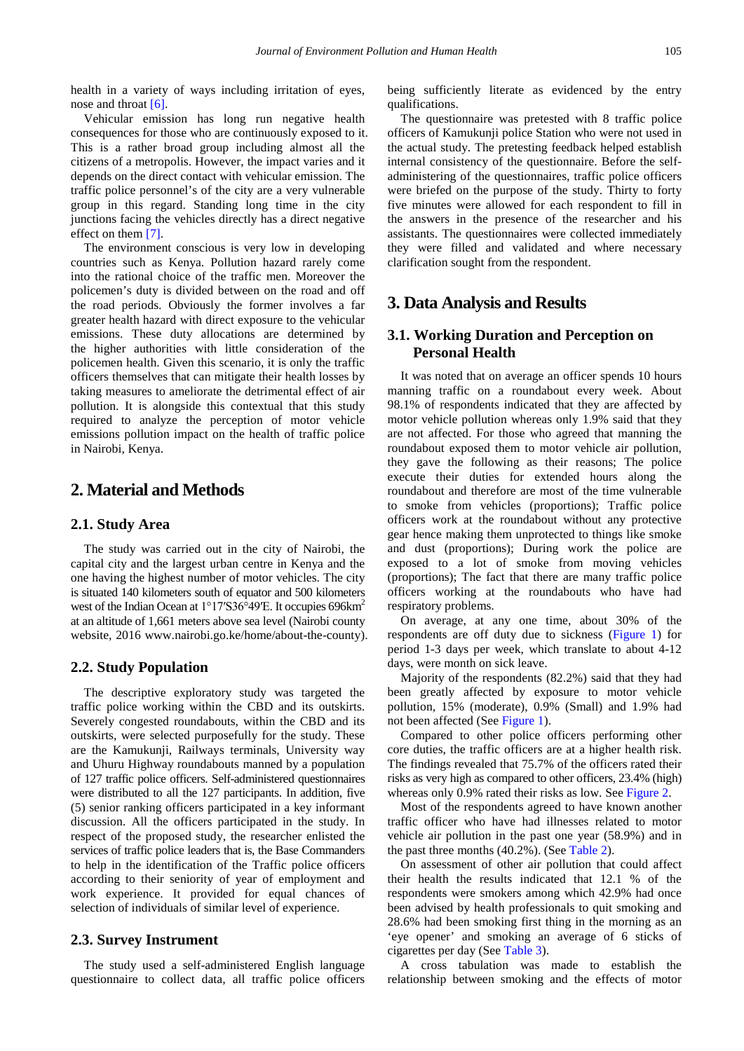health in a variety of ways including irritation of eyes, nose and throat  $[6]$ .

Vehicular emission has long run negative health consequences for those who are continuously exposed to it. This is a rather broad group including almost all the citizens of a metropolis. However, the impact varies and it depends on the direct contact with vehicular emission. The traffic police personnel's of the city are a very vulnerable group in this regard. Standing long time in the city junctions facing the vehicles directly has a direct negative effect on them [\[7\].](#page-6-2)

The environment conscious is very low in developing countries such as Kenya. Pollution hazard rarely come into the rational choice of the traffic men. Moreover the policemen's duty is divided between on the road and off the road periods. Obviously the former involves a far greater health hazard with direct exposure to the vehicular emissions. These duty allocations are determined by the higher authorities with little consideration of the policemen health. Given this scenario, it is only the traffic officers themselves that can mitigate their health losses by taking measures to ameliorate the detrimental effect of air pollution. It is alongside this contextual that this study required to analyze the perception of motor vehicle emissions pollution impact on the health of traffic police in Nairobi, Kenya.

## **2. Material and Methods**

#### **2.1. Study Area**

The study was carried out in the city of Nairobi, the capital city and the largest urban centre in Kenya and the one having the highest number of motor vehicles. The city is situated 140 kilometers south of equator and 500 kilometers west of the Indian Ocean at 1°17'S36°49'E. It occupies 696km<sup>2</sup> at an altitude of 1,661 meters above sea level (Nairobi county website, 2016 www.nairobi.go.ke/home/about-the-county).

#### **2.2. Study Population**

The descriptive exploratory study was targeted the traffic police working within the CBD and its outskirts. Severely congested roundabouts, within the CBD and its outskirts, were selected purposefully for the study. These are the Kamukunji, Railways terminals, University way and Uhuru Highway roundabouts manned by a population of 127 traffic police officers. Self-administered questionnaires were distributed to all the 127 participants. In addition, five (5) senior ranking officers participated in a key informant discussion. All the officers participated in the study. In respect of the proposed study, the researcher enlisted the services of traffic police leaders that is, the Base Commanders to help in the identification of the Traffic police officers according to their seniority of year of employment and work experience. It provided for equal chances of selection of individuals of similar level of experience.

#### **2.3. Survey Instrument**

The study used a self-administered English language questionnaire to collect data, all traffic police officers being sufficiently literate as evidenced by the entry qualifications.

The questionnaire was pretested with 8 traffic police officers of Kamukunji police Station who were not used in the actual study. The pretesting feedback helped establish internal consistency of the questionnaire. Before the selfadministering of the questionnaires, traffic police officers were briefed on the purpose of the study. Thirty to forty five minutes were allowed for each respondent to fill in the answers in the presence of the researcher and his assistants. The questionnaires were collected immediately they were filled and validated and where necessary clarification sought from the respondent.

## **3. Data Analysis and Results**

### **3.1. Working Duration and Perception on Personal Health**

It was noted that on average an officer spends 10 hours manning traffic on a roundabout every week. About 98.1% of respondents indicated that they are affected by motor vehicle pollution whereas only 1.9% said that they are not affected. For those who agreed that manning the roundabout exposed them to motor vehicle air pollution, they gave the following as their reasons; The police execute their duties for extended hours along the roundabout and therefore are most of the time vulnerable to smoke from vehicles (proportions); Traffic police officers work at the roundabout without any protective gear hence making them unprotected to things like smoke and dust (proportions); During work the police are exposed to a lot of smoke from moving vehicles (proportions); The fact that there are many traffic police officers working at the roundabouts who have had respiratory problems.

On average, at any one time, about 30% of the respondents are off duty due to sickness [\(Figure 1\)](#page-2-0) for period 1-3 days per week, which translate to about 4-12 days, were month on sick leave.

Majority of the respondents (82.2%) said that they had been greatly affected by exposure to motor vehicle pollution, 15% (moderate), 0.9% (Small) and 1.9% had not been affected (See [Figure 1\)](#page-2-0).

Compared to other police officers performing other core duties, the traffic officers are at a higher health risk. The findings revealed that 75.7% of the officers rated their risks as very high as compared to other officers, 23.4% (high) whereas only 0.9% rated their risks as low. See [Figure 2.](#page-2-1)

Most of the respondents agreed to have known another traffic officer who have had illnesses related to motor vehicle air pollution in the past one year (58.9%) and in the past three months (40.2%). (Se[e Table 2\)](#page-2-2).

On assessment of other air pollution that could affect their health the results indicated that 12.1 % of the respondents were smokers among which 42.9% had once been advised by health professionals to quit smoking and 28.6% had been smoking first thing in the morning as an 'eye opener' and smoking an average of 6 sticks of cigarettes per day (See [Table 3\)](#page-3-0).

A cross tabulation was made to establish the relationship between smoking and the effects of motor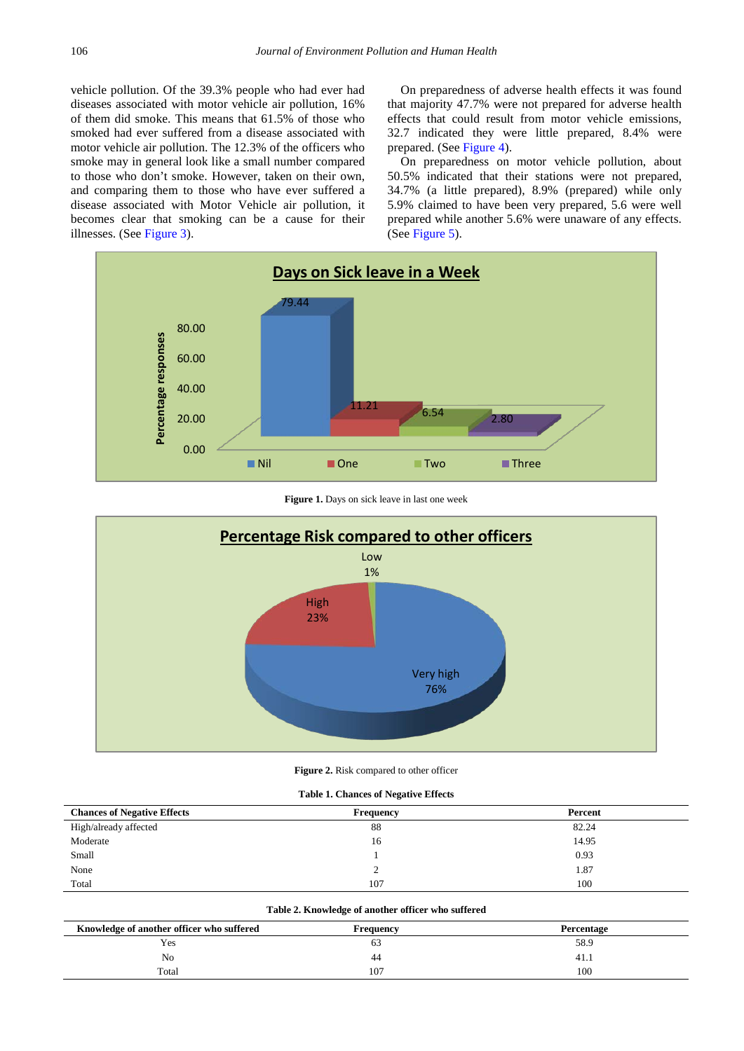vehicle pollution. Of the 39.3% people who had ever had diseases associated with motor vehicle air pollution, 16% of them did smoke. This means that 61.5% of those who smoked had ever suffered from a disease associated with motor vehicle air pollution. The 12.3% of the officers who smoke may in general look like a small number compared to those who don't smoke. However, taken on their own, and comparing them to those who have ever suffered a disease associated with Motor Vehicle air pollution, it becomes clear that smoking can be a cause for their illnesses. (See [Figure 3\)](#page-3-1).

On preparedness of adverse health effects it was found that majority 47.7% were not prepared for adverse health effects that could result from motor vehicle emissions, 32.7 indicated they were little prepared, 8.4% were prepared. (Se[e Figure 4\)](#page-3-2).

On preparedness on motor vehicle pollution, about 50.5% indicated that their stations were not prepared, 34.7% (a little prepared), 8.9% (prepared) while only 5.9% claimed to have been very prepared, 5.6 were well prepared while another 5.6% were unaware of any effects. (See [Figure 5\)](#page-3-3).

<span id="page-2-0"></span>

**Figure 1.** Days on sick leave in last one week

<span id="page-2-1"></span>

Figure 2. Risk compared to other officer

| <b>Table 1. Chances of Negative Effects</b> |
|---------------------------------------------|
|---------------------------------------------|

| <b>Chances of Negative Effects</b> | <b>Frequency</b> | Percent |
|------------------------------------|------------------|---------|
| High/already affected              | 88               | 82.24   |
| Moderate                           | 16               | 14.95   |
| Small                              |                  | 0.93    |
| None                               |                  | 1.87    |
| Total                              | 107              | 100     |

#### **Table 2. Knowledge of another officer who suffered**

<span id="page-2-2"></span>

| Knowledge of another officer who suffered | Frequency | Percentage |
|-------------------------------------------|-----------|------------|
| Yes                                       | 03        | 58.9       |
| No                                        | 44        | 41.1       |
| Total                                     | 107       | 100        |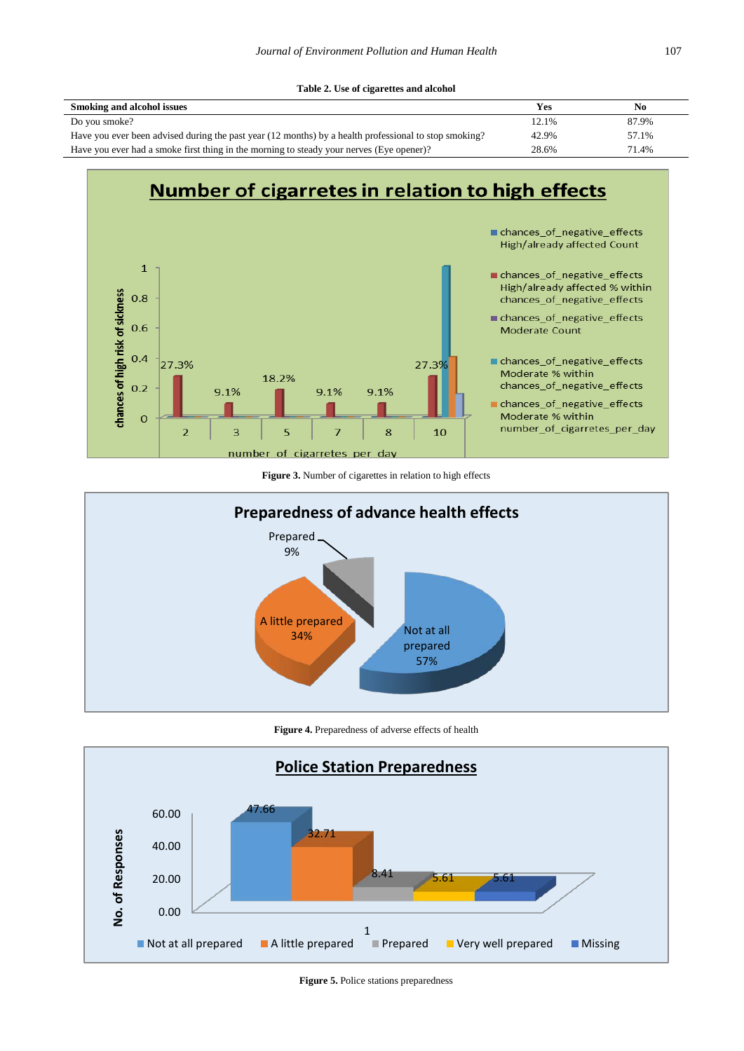<span id="page-3-0"></span>

| Smoking and alcohol issues                                                                            | Yes   | No    |
|-------------------------------------------------------------------------------------------------------|-------|-------|
| Do you smoke?                                                                                         | 12.1% | 87.9% |
| Have you ever been advised during the past year (12 months) by a health professional to stop smoking? | 42.9% | 57.1% |
| Have you ever had a smoke first thing in the morning to steady your nerves (Eye opener)?              | 28.6% | 71.4% |

<span id="page-3-1"></span>

**Figure 3.** Number of cigarettes in relation to high effects

<span id="page-3-2"></span>

**Figure 4.** Preparedness of adverse effects of health

<span id="page-3-3"></span>

**Figure 5.** Police stations preparedness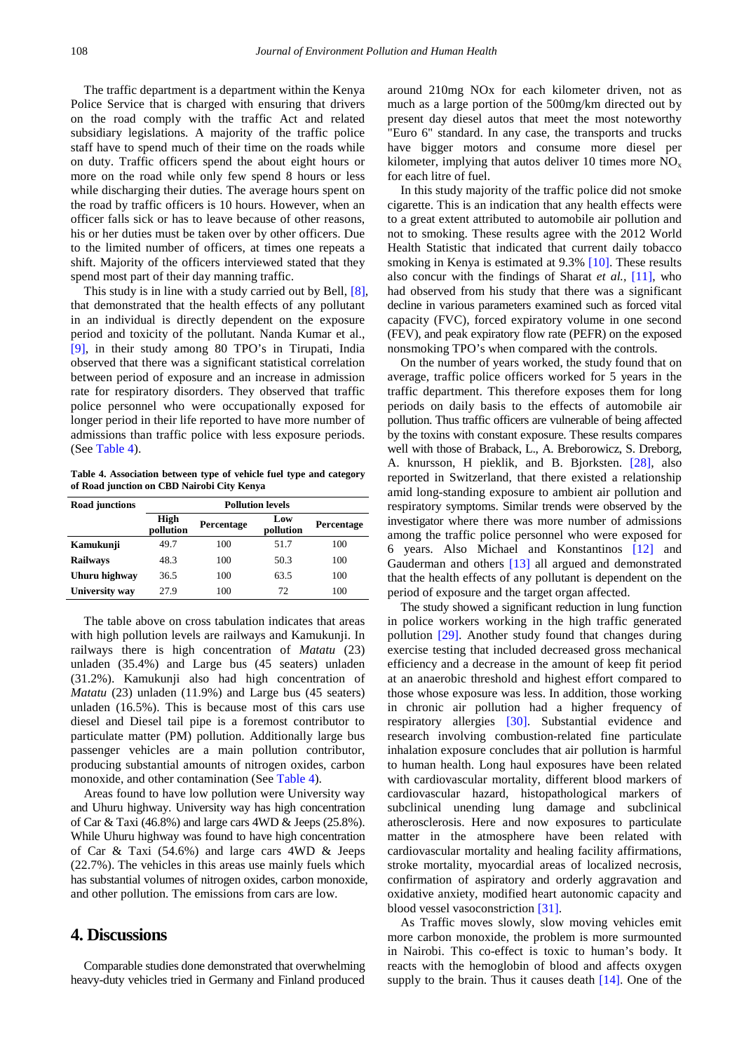The traffic department is a department within the Kenya Police Service that is charged with ensuring that drivers on the road comply with the traffic Act and related subsidiary legislations. A majority of the traffic police staff have to spend much of their time on the roads while on duty. Traffic officers spend the about eight hours or more on the road while only few spend 8 hours or less while discharging their duties. The average hours spent on the road by traffic officers is 10 hours. However, when an officer falls sick or has to leave because of other reasons, his or her duties must be taken over by other officers. Due to the limited number of officers, at times one repeats a shift. Majority of the officers interviewed stated that they spend most part of their day manning traffic.

This study is in line with a study carried out by Bell[, \[8\],](#page-6-3) that demonstrated that the health effects of any pollutant in an individual is directly dependent on the exposure period and toxicity of the pollutant. Nanda Kumar et al., [\[9\],](#page-6-4) in their study among 80 TPO's in Tirupati, India observed that there was a significant statistical correlation between period of exposure and an increase in admission rate for respiratory disorders. They observed that traffic police personnel who were occupationally exposed for longer period in their life reported to have more number of admissions than traffic police with less exposure periods. (See [Table 4\)](#page-4-0).

**Table 4. Association between type of vehicle fuel type and category of Road junction on CBD Nairobi City Kenya**

<span id="page-4-0"></span>

| Road junctions  | <b>Pollution levels</b> |            |                  |            |
|-----------------|-------------------------|------------|------------------|------------|
|                 | High<br>pollution       | Percentage | Low<br>pollution | Percentage |
| Kamukunji       | 49.7                    | 100        | 51.7             | 100        |
| <b>Railways</b> | 48.3                    | 100        | 50.3             | 100        |
| Uhuru highway   | 36.5                    | 100        | 63.5             | 100        |
| University way  | 27.9                    | 100        | 72               | 100        |

The table above on cross tabulation indicates that areas with high pollution levels are railways and Kamukunji. In railways there is high concentration of *Matatu* (23) unladen (35.4%) and Large bus (45 seaters) unladen (31.2%). Kamukunji also had high concentration of *Matatu* (23) unladen (11.9%) and Large bus (45 seaters) unladen (16.5%). This is because most of this cars use diesel and Diesel tail pipe is a foremost contributor to particulate matter (PM) pollution. Additionally large bus passenger vehicles are a main pollution contributor, producing substantial amounts of nitrogen oxides, carbon monoxide, and other contamination (See [Table 4\)](#page-4-0).

Areas found to have low pollution were University way and Uhuru highway. University way has high concentration of Car & Taxi  $(46.8\%)$  and large cars 4WD & Jeeps  $(25.8\%)$ . While Uhuru highway was found to have high concentration of Car & Taxi (54.6%) and large cars 4WD & Jeeps (22.7%). The vehicles in this areas use mainly fuels which has substantial volumes of nitrogen oxides, carbon monoxide, and other pollution. The emissions from cars are low.

## **4. Discussions**

Comparable studies done demonstrated that overwhelming heavy-duty vehicles tried in Germany and Finland produced around 210mg NOx for each kilometer driven, not as much as a large portion of the 500mg/km directed out by present day diesel autos that meet the most noteworthy "Euro 6" standard. In any case, the transports and trucks have bigger motors and consume more diesel per kilometer, implying that autos deliver 10 times more  $NO<sub>x</sub>$ for each litre of fuel.

In this study majority of the traffic police did not smoke cigarette. This is an indication that any health effects were to a great extent attributed to automobile air pollution and not to smoking. These results agree with the 2012 World Health Statistic that indicated that current daily tobacco smoking in Kenya is estimated at 9.3% [\[10\].](#page-6-5) These results also concur with the findings of Sharat *et al.,* [\[11\],](#page-6-6) who had observed from his study that there was a significant decline in various parameters examined such as forced vital capacity (FVC), forced expiratory volume in one second (FEV), and peak expiratory flow rate (PEFR) on the exposed nonsmoking TPO's when compared with the controls.

On the number of years worked, the study found that on average, traffic police officers worked for 5 years in the traffic department. This therefore exposes them for long periods on daily basis to the effects of automobile air pollution. Thus traffic officers are vulnerable of being affected by the toxins with constant exposure. These results compares well with those of Braback, L., A. Breborowicz, S. Dreborg, A. knursson, H pieklik, and B. Bjorksten. [\[28\],](#page-6-7) also reported in Switzerland, that there existed a relationship amid long-standing exposure to ambient air pollution and respiratory symptoms. Similar trends were observed by the investigator where there was more number of admissions among the traffic police personnel who were exposed for 6 years. Also Michael and Konstantinos [\[12\]](#page-6-8) and Gauderman and others [\[13\]](#page-6-9) all argued and demonstrated that the health effects of any pollutant is dependent on the period of exposure and the target organ affected.

The study showed a significant reduction in lung function in police workers working in the high traffic generated pollution [\[29\].](#page-6-10) Another study found that changes during exercise testing that included decreased gross mechanical efficiency and a decrease in the amount of keep fit period at an anaerobic threshold and highest effort compared to those whose exposure was less. In addition, those working in chronic air pollution had a higher frequency of respiratory allergies [\[30\].](#page-6-11) Substantial evidence and research involving combustion-related fine particulate inhalation exposure concludes that air pollution is harmful to human health. Long haul exposures have been related with cardiovascular mortality, different blood markers of cardiovascular hazard, histopathological markers of subclinical unending lung damage and subclinical atherosclerosis. Here and now exposures to particulate matter in the atmosphere have been related with cardiovascular mortality and healing facility affirmations, stroke mortality, myocardial areas of localized necrosis, confirmation of aspiratory and orderly aggravation and oxidative anxiety, modified heart autonomic capacity and blood vessel vasoconstriction [\[31\].](#page-6-12)

As Traffic moves slowly, slow moving vehicles emit more carbon monoxide, the problem is more surmounted in Nairobi. This co-effect is toxic to human's body. It reacts with the hemoglobin of blood and affects oxygen supply to the brain. Thus it causes death [\[14\].](#page-6-13) One of the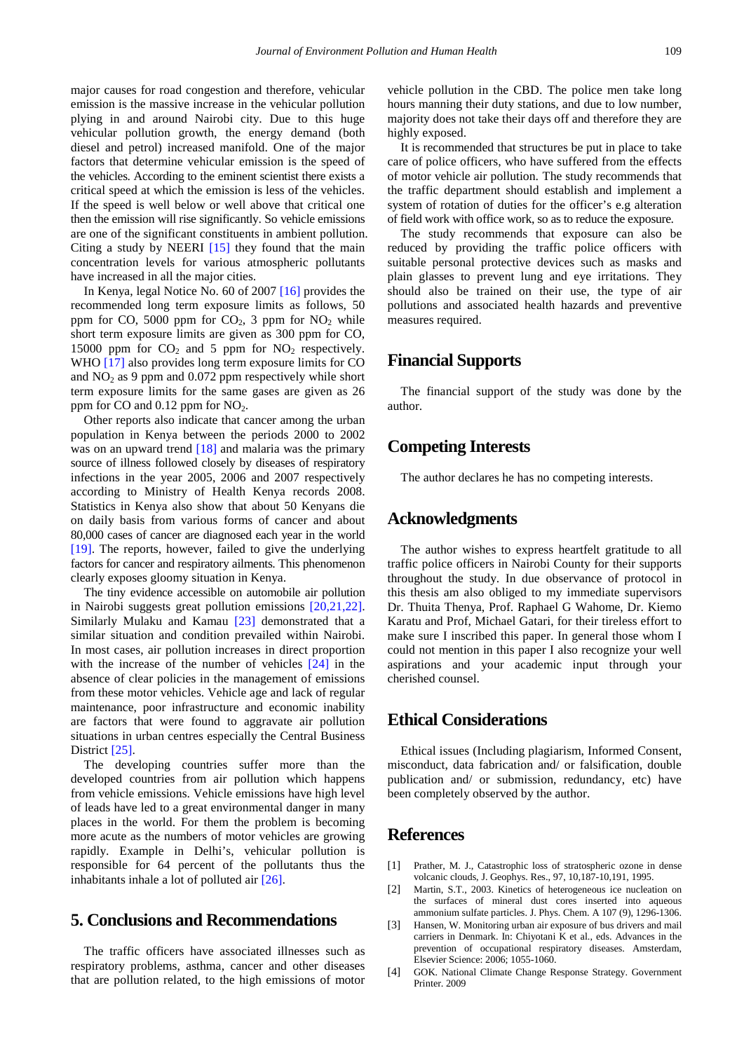major causes for road congestion and therefore, vehicular emission is the massive increase in the vehicular pollution plying in and around Nairobi city. Due to this huge vehicular pollution growth, the energy demand (both diesel and petrol) increased manifold. One of the major factors that determine vehicular emission is the speed of the vehicles. According to the eminent scientist there exists a critical speed at which the emission is less of the vehicles. If the speed is well below or well above that critical one then the emission will rise significantly. So vehicle emissions are one of the significant constituents in ambient pollution. Citing a study by NEERI  $[15]$  they found that the main concentration levels for various atmospheric pollutants have increased in all the major cities.

In Kenya, legal Notice No. 60 of 2007 [\[16\]](#page-6-15) provides the recommended long term exposure limits as follows, 50 ppm for CO, 5000 ppm for  $CO<sub>2</sub>$ , 3 ppm for  $NO<sub>2</sub>$  while short term exposure limits are given as 300 ppm for CO, 15000 ppm for  $CO<sub>2</sub>$  and 5 ppm for  $NO<sub>2</sub>$  respectively. WHO [\[17\]](#page-6-16) also provides long term exposure limits for CO and  $NO<sub>2</sub>$  as 9 ppm and 0.072 ppm respectively while short term exposure limits for the same gases are given as 26 ppm for  $CO$  and  $0.12$  ppm for  $NO<sub>2</sub>$ .

Other reports also indicate that cancer among the urban population in Kenya between the periods 2000 to 2002 was on an upward trend [\[18\]](#page-6-17) and malaria was the primary source of illness followed closely by diseases of respiratory infections in the year 2005, 2006 and 2007 respectively according to Ministry of Health Kenya records 2008. Statistics in Kenya also show that about 50 Kenyans die on daily basis from various forms of cancer and about 80,000 cases of cancer are diagnosed each year in the world [\[19\].](#page-6-18) The reports, however, failed to give the underlying factors for cancer and respiratory ailments. This phenomenon clearly exposes gloomy situation in Kenya.

The tiny evidence accessible on automobile air pollution in Nairobi suggests great pollution emissions [\[20,21,22\].](#page-6-19) Similarly Mulaku and Kamau [\[23\]](#page-6-20) demonstrated that a similar situation and condition prevailed within Nairobi. In most cases, air pollution increases in direct proportion with the increase of the number of vehicles  $[24]$  in the absence of clear policies in the management of emissions from these motor vehicles. Vehicle age and lack of regular maintenance, poor infrastructure and economic inability are factors that were found to aggravate air pollution situations in urban centres especially the Central Business District [\[25\].](#page-6-22)

The developing countries suffer more than the developed countries from air pollution which happens from vehicle emissions. Vehicle emissions have high level of leads have led to a great environmental danger in many places in the world. For them the problem is becoming more acute as the numbers of motor vehicles are growing rapidly. Example in Delhi's, vehicular pollution is responsible for 64 percent of the pollutants thus the inhabitants inhale a lot of polluted air [\[26\].](#page-6-23)

## **5. Conclusions and Recommendations**

The traffic officers have associated illnesses such as respiratory problems, asthma, cancer and other diseases that are pollution related, to the high emissions of motor vehicle pollution in the CBD. The police men take long hours manning their duty stations, and due to low number, majority does not take their days off and therefore they are highly exposed.

It is recommended that structures be put in place to take care of police officers, who have suffered from the effects of motor vehicle air pollution. The study recommends that the traffic department should establish and implement a system of rotation of duties for the officer's e.g alteration of field work with office work, so as to reduce the exposure.

The study recommends that exposure can also be reduced by providing the traffic police officers with suitable personal protective devices such as masks and plain glasses to prevent lung and eye irritations. They should also be trained on their use, the type of air pollutions and associated health hazards and preventive measures required.

## **Financial Supports**

The financial support of the study was done by the author.

## **Competing Interests**

The author declares he has no competing interests.

## **Acknowledgments**

The author wishes to express heartfelt gratitude to all traffic police officers in Nairobi County for their supports throughout the study. In due observance of protocol in this thesis am also obliged to my immediate supervisors Dr. Thuita Thenya, Prof. Raphael G Wahome, Dr. Kiemo Karatu and Prof, Michael Gatari, for their tireless effort to make sure I inscribed this paper. In general those whom I could not mention in this paper I also recognize your well aspirations and your academic input through your cherished counsel.

# **Ethical Considerations**

Ethical issues (Including plagiarism, Informed Consent, misconduct, data fabrication and/ or falsification, double publication and/ or submission, redundancy, etc) have been completely observed by the author.

## **References**

- <span id="page-5-0"></span>[1] Prather, M. J., Catastrophic loss of stratospheric ozone in dense volcanic clouds, J. Geophys. Res., 97, 10,187-10,191, 1995.
- [2] Martin, S.T., 2003. Kinetics of heterogeneous ice nucleation on the surfaces of mineral dust cores inserted into aqueous ammonium sulfate particles. J. Phys. Chem. A 107 (9), 1296-1306.
- <span id="page-5-1"></span>[3] Hansen, W. Monitoring urban air exposure of bus drivers and mail carriers in Denmark. In: Chiyotani K et al., eds. Advances in the prevention of occupational respiratory diseases. Amsterdam, Elsevier Science: 2006; 1055-1060.
- <span id="page-5-2"></span>[4] GOK. National Climate Change Response Strategy. Government Printer. 2009